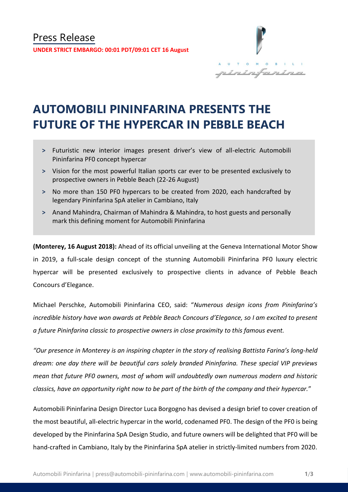

# **AUTOMOBILI PININFARINA PRESENTS THE FUTURE OF THE HYPERCAR IN PEBBLE BEACH**

- **˃** Futuristic new interior images present driver's view of all-electric Automobili Pininfarina PF0 concept hypercar
- **˃** Vision for the most powerful Italian sports car ever to be presented exclusively to prospective owners in Pebble Beach (22-26 August)
- **˃** No more than 150 PF0 hypercars to be created from 2020, each handcrafted by legendary Pininfarina SpA atelier in Cambiano, Italy
- **˃** Anand Mahindra, Chairman of Mahindra & Mahindra, to host guests and personally mark this defining moment for Automobili Pininfarina

**(Monterey, 16 August 2018):** Ahead of its official unveiling at the Geneva International Motor Show in 2019, a full-scale design concept of the stunning Automobili Pininfarina PF0 luxury electric hypercar will be presented exclusively to prospective clients in advance of Pebble Beach Concours d'Elegance.

Michael Perschke, Automobili Pininfarina CEO, said: "*Numerous design icons from Pininfarina's incredible history have won awards at Pebble Beach Concours d'Elegance, so I am excited to present a future Pininfarina classic to prospective owners in close proximity to this famous event.*

*"Our presence in Monterey is an inspiring chapter in the story of realising Battista Farina's long-held dream: one day there will be beautiful cars solely branded Pininfarina. These special VIP previews mean that future PF0 owners, most of whom will undoubtedly own numerous modern and historic classics, have an opportunity right now to be part of the birth of the company and their hypercar.*"

Automobili Pininfarina Design Director Luca Borgogno has devised a design brief to cover creation of the most beautiful, all-electric hypercar in the world, codenamed PF0. The design of the PF0 is being developed by the Pininfarina SpA Design Studio, and future owners will be delighted that PF0 will be hand-crafted in Cambiano, Italy by the Pininfarina SpA atelier in strictly-limited numbers from 2020.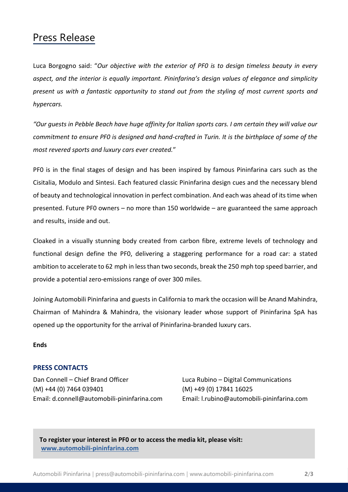### Press Release

Luca Borgogno said: "*Our objective with the exterior of PF0 is to design timeless beauty in every aspect, and the interior is equally important. Pininfarina's design values of elegance and simplicity present us with a fantastic opportunity to stand out from the styling of most current sports and hypercars.*

*"Our guests in Pebble Beach have huge affinity for Italian sports cars. I am certain they will value our commitment to ensure PF0 is designed and hand-crafted in Turin. It is the birthplace of some of the most revered sports and luxury cars ever created.*"

PF0 is in the final stages of design and has been inspired by famous Pininfarina cars such as the Cisitalia, Modulo and Sintesi. Each featured classic Pininfarina design cues and the necessary blend of beauty and technological innovation in perfect combination. And each was ahead of its time when presented. Future PF0 owners – no more than 150 worldwide – are guaranteed the same approach and results, inside and out.

Cloaked in a visually stunning body created from carbon fibre, extreme levels of technology and functional design define the PF0, delivering a staggering performance for a road car: a stated ambition to accelerate to 62 mph in less than two seconds, break the 250 mph top speed barrier, and provide a potential zero-emissions range of over 300 miles.

Joining Automobili Pininfarina and guests in California to mark the occasion will be Anand Mahindra, Chairman of Mahindra & Mahindra, the visionary leader whose support of Pininfarina SpA has opened up the opportunity for the arrival of Pininfarina-branded luxury cars.

#### **Ends**

### **PRESS CONTACTS**

Dan Connell – Chief Brand Officer Luca Rubino – Digital Communications (M) +44 (0) 7464 039401 (M) +49 (0) 17841 16025 Email: d.connell@automobili-pininfarina.com Email: [l.rubino@automobili-pininfarina.com](mailto:l.rubino@automobili-pininfarina.com)

**To register your interest in PF0 or to access the media kit, please visit: [www.automobili-pininfarina.com](http://www.automobili-pininfarina.com/)**